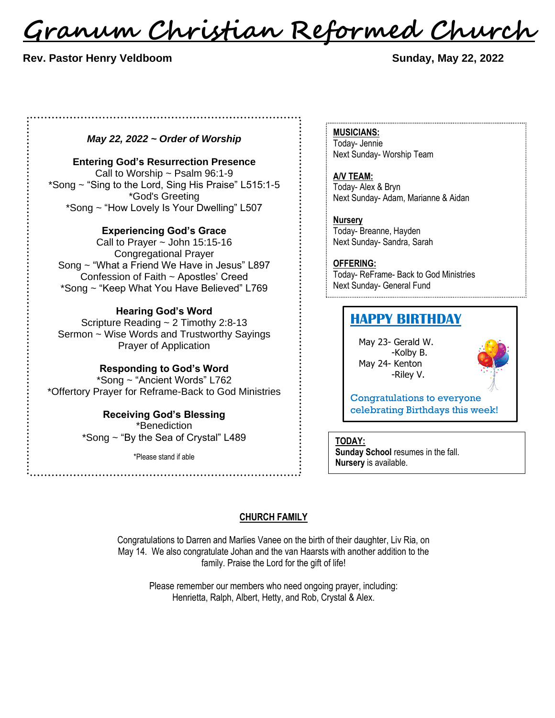<u>Granum Christian Reformed Church</u>

 **Rev. Pastor Henry Veldboom Sunday, May 22, 2022** 

#### *May 22, 2022 ~ Order of Worship*

**Entering God's Resurrection Presence** Call to Worship ~ Psalm 96:1-9 \*Song ~ "Sing to the Lord, Sing His Praise" L515:1-5 \*God's Greeting \*Song ~ "How Lovely Is Your Dwelling" L507

**Experiencing God's Grace**

Call to Prayer  $\sim$  John 15:15-16 Congregational Prayer Song ~ "What a Friend We Have in Jesus" L897 Confession of Faith ~ Apostles' Creed \*Song ~ "Keep What You Have Believed" L769

#### **Hearing God's Word**

Scripture Reading ~ 2 Timothy 2:8-13 Sermon ~ Wise Words and Trustworthy Sayings Prayer of Application

**Responding to God's Word**

\*Song ~ "Ancient Words" L762 \*Offertory Prayer for Reframe-Back to God Ministries

> **Receiving God's Blessing** \*Benediction \*Song ~ "By the Sea of Crystal" L489

> > \*Please stand if able

**MUSICIANS:** Today- Jennie Next Sunday- Worship Team

**A/V TEAM:** Today- Alex & Bryn Next Sunday- Adam, Marianne & Aidan

**Nursery** Today- Breanne, Hayden Next Sunday- Sandra, Sarah

**OFFERING:** Today- ReFrame- Back to God Ministries Next Sunday- General Fund

## **HAPPY BIRTHDAY**

May 23- Gerald W. -Kolby B. May 24- Kenton -Riley V.



Congratulations to everyone celebrating Birthdays this week!

**TODAY:**

**Sunday School** resumes in the fall. **Nursery** is available.

#### **CHURCH FAMILY**

Congratulations to Darren and Marlies Vanee on the birth of their daughter, Liv Ria, on May 14. We also congratulate Johan and the van Haarsts with another addition to the family. Praise the Lord for the gift of life!

> Please remember our members who need ongoing prayer, including: Henrietta, Ralph, Albert, Hetty, and Rob, Crystal & Alex.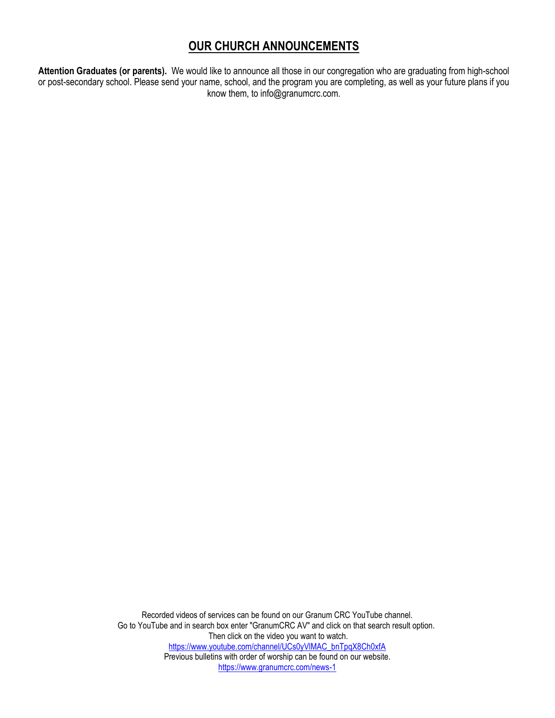## **OUR CHURCH ANNOUNCEMENTS**

**Attention Graduates (or parents).** We would like to announce all those in our congregation who are graduating from high-school or post-secondary school. Please send your name, school, and the program you are completing, as well as your future plans if you know them, to info@granumcrc.com.

> Recorded videos of services can be found on our Granum CRC YouTube channel. Go to YouTube and in search box enter "GranumCRC AV" and click on that search result option. Then click on the video you want to watch. [https://www.youtube.com/channel/UCs0yVlMAC\\_bnTpqX8Ch0xfA](https://www.youtube.com/channel/UCs0yVlMAC_bnTpqX8Ch0xfA) Previous bulletins with order of worship can be found on our website. <https://www.granumcrc.com/news-1>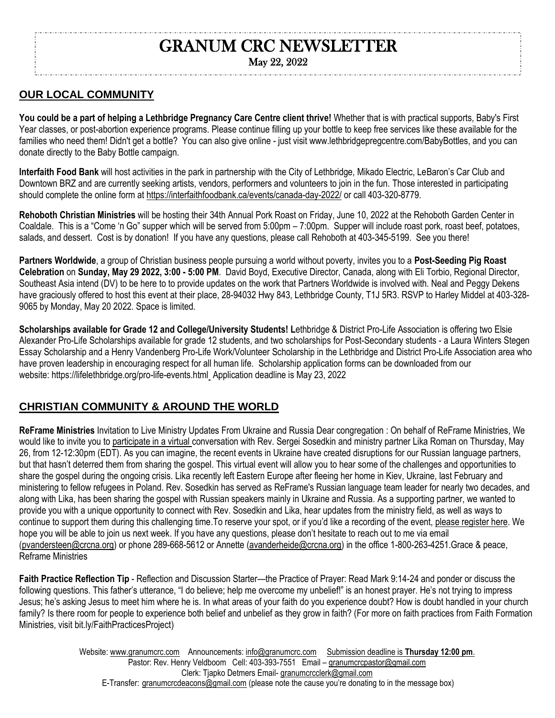# GRANUM CRC NEWSLETTER

### May 22, 2022

## **OUR LOCAL COMMUNITY**

**You could be a part of helping a Lethbridge Pregnancy Care Centre client thrive!** Whether that is with practical supports, Baby's First Year classes, or post-abortion experience programs. Please continue filling up your bottle to keep free services like these available for the families who need them! Didn't get a bottle? You can also give online - just visit www.lethbridgepregcentre.com/BabyBottles, and you can donate directly to the Baby Bottle campaign.

**Interfaith Food Bank** will host activities in the park in partnership with the City of Lethbridge, Mikado Electric, LeBaron's Car Club and Downtown BRZ and are currently seeking artists, vendors, performers and volunteers to join in the fun. Those interested in participating should complete the online form at <https://interfaithfoodbank.ca/events/canada-day-2022/> or call 403-320-8779.

**Rehoboth Christian Ministries** will be hosting their 34th Annual Pork Roast on Friday, June 10, 2022 at the Rehoboth Garden Center in Coaldale. This is a "Come 'n Go" supper which will be served from 5:00pm – 7:00pm. Supper will include roast pork, roast beef, potatoes, salads, and dessert. Cost is by donation! If you have any questions, please call Rehoboth at 403-345-5199. See you there!

**Partners Worldwide**, a group of Christian business people pursuing a world without poverty, invites you to a **Post-Seeding Pig Roast Celebration** on **Sunday, May 29 2022, 3:00 - 5:00 PM**. David Boyd, Executive Director, Canada, along with Eli Torbio, Regional Director, Southeast Asia intend (DV) to be here to to provide updates on the work that Partners Worldwide is involved with. Neal and Peggy Dekens have graciously offered to host this event at their place, 28-94032 Hwy 843, Lethbridge County, T1J 5R3. RSVP to Harley Middel at 403-328- 9065 by Monday, May 20 2022. Space is limited.

**Scholarships available for Grade 12 and College/University Students! Lethbridge & District Pro-Life Association is offering two Elsie** Alexander Pro-Life Scholarships available for grade 12 students, and two scholarships for Post-Secondary students - a Laura Winters Stegen Essay Scholarship and a Henry Vandenberg Pro-Life Work/Volunteer Scholarship in the Lethbridge and District Pro-Life Association area who have proven leadership in encouraging respect for all human life. Scholarship application forms can be downloaded from our website: [https://lifelethbridge.org/pro-life-events.html](http://lifelethbridge.org/pro-life-events.html) Application deadline is May 23, 2022

## **CHRISTIAN COMMUNITY & AROUND THE WORLD**

**ReFrame Ministries** Invitation to Live Ministry Updates From Ukraine and Russia Dear congregation : On behalf of ReFrame Ministries, We would like to invite you to [participate in a virtual](https://crcna.zoom.us/webinar/register/9816527961719/WN_XSJheyr2Se6xX6VvwCLq9w) conversation with Rev. Sergei Sosedkin and ministry partner Lika Roman on Thursday, May 26, from 12-12:30pm (EDT). As you can imagine, the recent events in Ukraine have created disruptions for our Russian language partners, but that hasn't deterred them from sharing the gospel. This virtual event will allow you to hear some of the challenges and opportunities to share the gospel during the ongoing crisis. Lika recently left Eastern Europe after fleeing her home in Kiev, Ukraine, last February and ministering to fellow refugees in Poland. Rev. Sosedkin has served as ReFrame's Russian language team leader for nearly two decades, and along with Lika, has been sharing the gospel with Russian speakers mainly in Ukraine and Russia. As a supporting partner, we wanted to provide you with a unique opportunity to connect with Rev. Sosedkin and Lika, hear updates from the ministry field, as well as ways to continue to support them during this challenging time.To reserve your spot, or if you'd like a recording of the event, [please register here.](https://crcna.zoom.us/webinar/register/9816527961719/WN_XSJheyr2Se6xX6VvwCLq9w) We hope you will be able to join us next week. If you have any questions, please don't hesitate to reach out to me via email [\(pvandersteen@crcna.org\)](mailto:pvandersteen@crcna.org) or phone 289-668-5612 or Annette [\(avanderheide@crcna.org\)](mailto:avanderheide@crcna.org) in the office 1-800-263-4251.Grace & peace, Reframe Ministries

**Faith Practice Reflection Tip** - Reflection and Discussion Starter—the Practice of Prayer: Read Mark 9:14-24 and ponder or discuss the following questions. This father's utterance, "I do believe; help me overcome my unbelief!" is an honest prayer. He's not trying to impress Jesus; he's asking Jesus to meet him where he is. In what areas of your faith do you experience doubt? How is doubt handled in your church family? Is there room for people to experience both belief and unbelief as they grow in faith? (For more on faith practices from Faith Formation Ministries, visit bit.ly/FaithPracticesProject)

> Website: [www.granumcrc.com](http://www.granumcrc.com/) Announcements[: info@granumcrc.com](mailto:info@granumcrc.com) Submission deadline is **Thursday 12:00 pm**. Website: www.granumcrc.com Announcements: info@granumcrc.com Submission deadline is **Thursday 12:00 pm**. Pastor: Rev. Henry Veldboom Cell: 403-393-7551 Email – granumcrcpastor@gmail.com Clerk: Tjapko Detmers Email- [granumcrcclerk@gmail.com](mailto:granumcrcclerk@gmail.com) Clerk: Tjapko Detmers Email- [granumcrcclerk@gmail.com](mailto:granumcrcclerk@gmail.com) E-Transfer: [granumcrcdeacons@gmail.com](mailto:granumcrcdeacons@gmail.com) (please note the cause you're donating to in the message box)